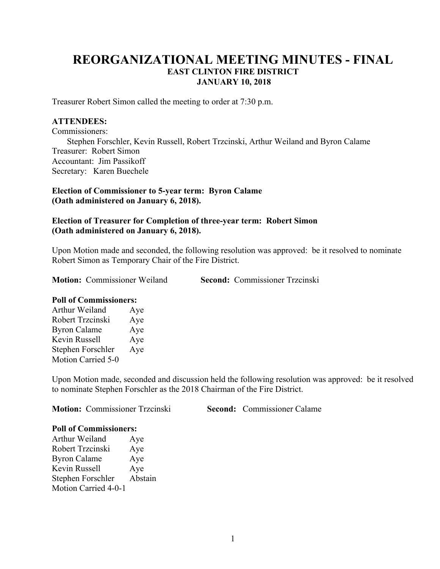# **REORGANIZATIONAL MEETING MINUTES - FINAL EAST CLINTON FIRE DISTRICT JANUARY 10, 2018**

Treasurer Robert Simon called the meeting to order at 7:30 p.m.

#### **ATTENDEES:**

Commissioners: Stephen Forschler, Kevin Russell, Robert Trzcinski, Arthur Weiland and Byron Calame Treasurer: Robert Simon Accountant: Jim Passikoff Secretary: Karen Buechele

## **Election of Commissioner to 5-year term: Byron Calame (Oath administered on January 6, 2018).**

## **Election of Treasurer for Completion of three-year term: Robert Simon (Oath administered on January 6, 2018).**

Upon Motion made and seconded, the following resolution was approved: be it resolved to nominate Robert Simon as Temporary Chair of the Fire District.

**Motion:** Commissioner Weiland **Second:** Commissioner Trzcinski

#### **Poll of Commissioners:**

| Arthur Weiland            | Aye |
|---------------------------|-----|
| Robert Trzcinski          | Aye |
| <b>Byron Calame</b>       | Aye |
| Kevin Russell             | Aye |
| Stephen Forschler         | Aye |
| <b>Motion Carried 5-0</b> |     |

Upon Motion made, seconded and discussion held the following resolution was approved: be it resolved to nominate Stephen Forschler as the 2018 Chairman of the Fire District.

**Motion:** Commissioner Trzcinski **Second:** Commissioner Calame

#### **Poll of Commissioners:**

Arthur Weiland Aye Robert Trzcinski Aye Byron Calame Aye Kevin Russell Aye Stephen Forschler Abstain Motion Carried 4-0-1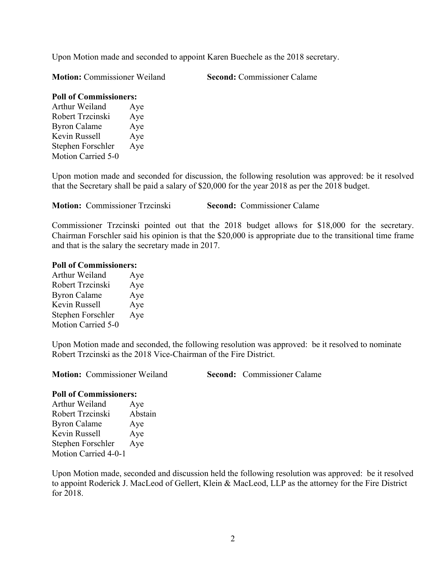Upon Motion made and seconded to appoint Karen Buechele as the 2018 secretary.

**Motion:** Commissioner Weiland **Second:** Commissioner Calame

# **Poll of Commissioners:**

Arthur Weiland Aye Robert Trzcinski Aye Byron Calame Aye Kevin Russell Aye Stephen Forschler Aye Motion Carried 5-0

Upon motion made and seconded for discussion, the following resolution was approved: be it resolved that the Secretary shall be paid a salary of \$20,000 for the year 2018 as per the 2018 budget.

**Motion:** Commissioner Trzcinski **Second:** Commissioner Calame

Commissioner Trzcinski pointed out that the 2018 budget allows for \$18,000 for the secretary. Chairman Forschler said his opinion is that the \$20,000 is appropriate due to the transitional time frame and that is the salary the secretary made in 2017.

# **Poll of Commissioners:**

| Arthur Weiland            | Aye |
|---------------------------|-----|
| Robert Trzcinski          | Aye |
| <b>Byron Calame</b>       | Aye |
| Kevin Russell             | Aye |
| Stephen Forschler         | Aye |
| <b>Motion Carried 5-0</b> |     |

Upon Motion made and seconded, the following resolution was approved: be it resolved to nominate Robert Trzcinski as the 2018 Vice-Chairman of the Fire District.

**Motion:** Commissioner Weiland **Second:** Commissioner Calame

## **Poll of Commissioners:**

Arthur Weiland Aye Robert Trzcinski Abstain Byron Calame Aye Kevin Russell Aye Stephen Forschler Aye Motion Carried 4-0-1

Upon Motion made, seconded and discussion held the following resolution was approved: be it resolved to appoint Roderick J. MacLeod of Gellert, Klein & MacLeod, LLP as the attorney for the Fire District for 2018.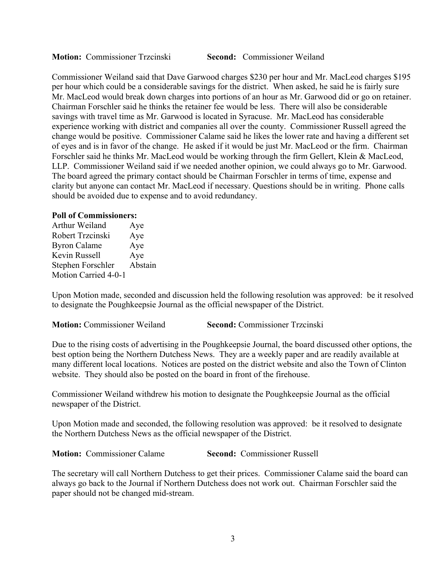**Motion:** Commissioner Trzcinski **Second:** Commissioner Weiland

Commissioner Weiland said that Dave Garwood charges \$230 per hour and Mr. MacLeod charges \$195 per hour which could be a considerable savings for the district. When asked, he said he is fairly sure Mr. MacLeod would break down charges into portions of an hour as Mr. Garwood did or go on retainer. Chairman Forschler said he thinks the retainer fee would be less. There will also be considerable savings with travel time as Mr. Garwood is located in Syracuse. Mr. MacLeod has considerable experience working with district and companies all over the county. Commissioner Russell agreed the change would be positive. Commissioner Calame said he likes the lower rate and having a different set of eyes and is in favor of the change. He asked if it would be just Mr. MacLeod or the firm. Chairman Forschler said he thinks Mr. MacLeod would be working through the firm Gellert, Klein & MacLeod, LLP. Commissioner Weiland said if we needed another opinion, we could always go to Mr. Garwood. The board agreed the primary contact should be Chairman Forschler in terms of time, expense and clarity but anyone can contact Mr. MacLeod if necessary. Questions should be in writing. Phone calls should be avoided due to expense and to avoid redundancy.

#### **Poll of Commissioners:**

Arthur Weiland Aye Robert Trzcinski Aye Byron Calame Aye Kevin Russell Aye Stephen Forschler Abstain Motion Carried 4-0-1

Upon Motion made, seconded and discussion held the following resolution was approved: be it resolved to designate the Poughkeepsie Journal as the official newspaper of the District.

**Motion:** Commissioner Weiland **Second:** Commissioner Trzcinski

Due to the rising costs of advertising in the Poughkeepsie Journal, the board discussed other options, the best option being the Northern Dutchess News. They are a weekly paper and are readily available at many different local locations. Notices are posted on the district website and also the Town of Clinton website. They should also be posted on the board in front of the firehouse.

Commissioner Weiland withdrew his motion to designate the Poughkeepsie Journal as the official newspaper of the District.

Upon Motion made and seconded, the following resolution was approved: be it resolved to designate the Northern Dutchess News as the official newspaper of the District.

**Motion:** Commissioner Calame **Second:** Commissioner Russell

The secretary will call Northern Dutchess to get their prices. Commissioner Calame said the board can always go back to the Journal if Northern Dutchess does not work out. Chairman Forschler said the paper should not be changed mid-stream.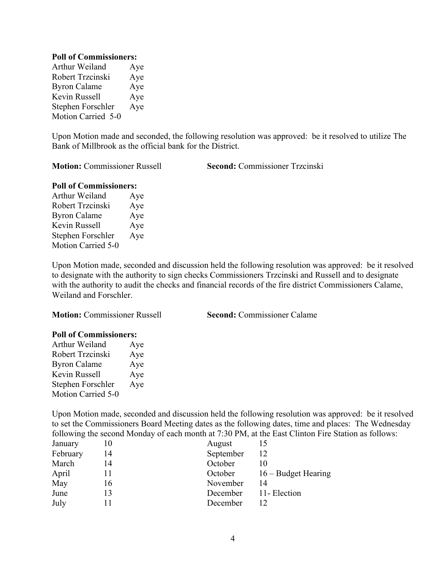#### **Poll of Commissioners:**

Arthur Weiland Aye Robert Trzcinski Aye Byron Calame Aye Kevin Russell Aye Stephen Forschler Aye Motion Carried 5-0

Upon Motion made and seconded, the following resolution was approved: be it resolved to utilize The Bank of Millbrook as the official bank for the District.

**Motion:** Commissioner Russell **Second:** Commissioner Trzcinski

## **Poll of Commissioners:**

Arthur Weiland Aye Robert Trzcinski Aye Byron Calame Aye Kevin Russell Aye Stephen Forschler Aye Motion Carried 5-0

Upon Motion made, seconded and discussion held the following resolution was approved: be it resolved to designate with the authority to sign checks Commissioners Trzcinski and Russell and to designate with the authority to audit the checks and financial records of the fire district Commissioners Calame, Weiland and Forschler.

**Motion:** Commissioner Russell **Second:** Commissioner Calame

## **Poll of Commissioners:**

| Arthur Weiland            | Aye |
|---------------------------|-----|
| Robert Trzcinski          | Aye |
| <b>Byron Calame</b>       | Aye |
| Kevin Russell             | Aye |
| Stephen Forschler         | Aye |
| <b>Motion Carried 5-0</b> |     |

Upon Motion made, seconded and discussion held the following resolution was approved: be it resolved to set the Commissioners Board Meeting dates as the following dates, time and places: The Wednesday following the second Monday of each month at 7:30 PM, at the East Clinton Fire Station as follows:

| January  |    | August    |                       |
|----------|----|-----------|-----------------------|
| February | 14 | September | 12                    |
| March    | 14 | October   |                       |
| April    |    | October   | $16 -$ Budget Hearing |
| May      | 16 | November  | 14                    |
| June     |    | December  | 11- Election          |
| July     |    | December  |                       |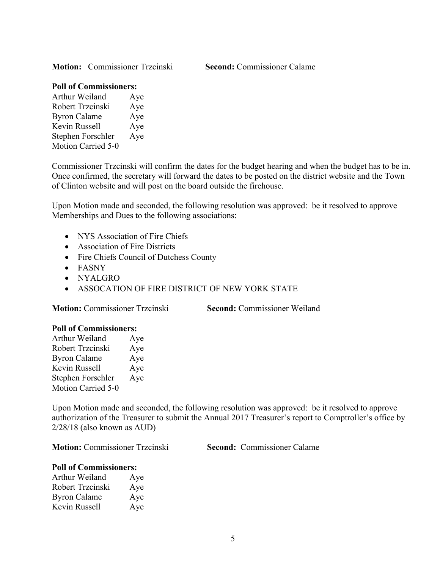**Motion:** Commissioner Trzcinski **Second:** Commissioner Calame

## **Poll of Commissioners:**

| Arthur Weiland      | Aye |
|---------------------|-----|
| Robert Trzcinski    | Aye |
| <b>Byron Calame</b> | Aye |
| Kevin Russell       | Aye |
| Stephen Forschler   | Aye |
| Motion Carried 5-0  |     |

Commissioner Trzcinski will confirm the dates for the budget hearing and when the budget has to be in. Once confirmed, the secretary will forward the dates to be posted on the district website and the Town of Clinton website and will post on the board outside the firehouse.

Upon Motion made and seconded, the following resolution was approved: be it resolved to approve Memberships and Dues to the following associations:

- NYS Association of Fire Chiefs
- Association of Fire Districts
- Fire Chiefs Council of Dutchess County
- FASNY
- NYALGRO
- ASSOCATION OF FIRE DISTRICT OF NEW YORK STATE

**Motion:** Commissioner Trzcinski **Second:** Commissioner Weiland

## **Poll of Commissioners:**

| Arthur Weiland            | Aye |
|---------------------------|-----|
| Robert Trzcinski          | Aye |
| <b>Byron Calame</b>       | Aye |
| Kevin Russell             | Aye |
| Stephen Forschler         | Aye |
| <b>Motion Carried 5-0</b> |     |

Upon Motion made and seconded, the following resolution was approved: be it resolved to approve authorization of the Treasurer to submit the Annual 2017 Treasurer's report to Comptroller's office by 2/28/18 (also known as AUD)

**Motion:** Commissioner Trzcinski **Second:** Commissioner Calame

#### **Poll of Commissioners:**

| Arthur Weiland      | Aye |
|---------------------|-----|
| Robert Trzcinski    | Aye |
| <b>Byron Calame</b> | Aye |
| Kevin Russell       | Aye |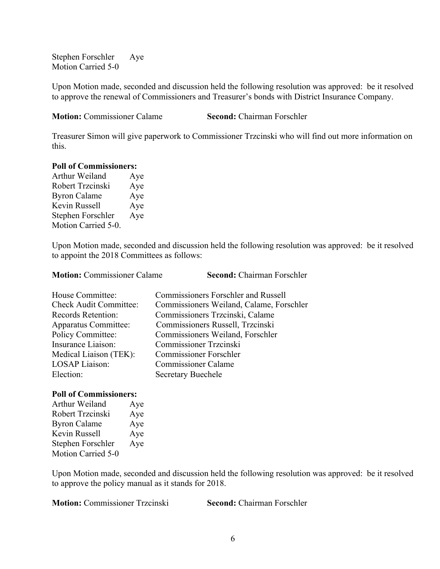Stephen Forschler Aye Motion Carried 5-0

Upon Motion made, seconded and discussion held the following resolution was approved: be it resolved to approve the renewal of Commissioners and Treasurer's bonds with District Insurance Company.

**Motion:** Commissioner Calame **Second:** Chairman Forschler

Treasurer Simon will give paperwork to Commissioner Trzcinski who will find out more information on this.

#### **Poll of Commissioners:**

Arthur Weiland Aye Robert Trzcinski Aye Byron Calame Aye Kevin Russell Aye Stephen Forschler Aye Motion Carried 5-0.

Upon Motion made, seconded and discussion held the following resolution was approved: be it resolved to appoint the 2018 Committees as follows:

| <b>Motion: Commissioner Calame</b> | Second: Chairman Forschler                 |
|------------------------------------|--------------------------------------------|
| House Committee:                   | <b>Commissioners Forschler and Russell</b> |
| <b>Check Audit Committee:</b>      | Commissioners Weiland, Calame, Forschler   |
| Records Retention:                 | Commissioners Trzcinski, Calame            |
| <b>Apparatus Committee:</b>        | Commissioners Russell, Trzcinski           |
| Policy Committee:                  | Commissioners Weiland, Forschler           |
| Insurance Liaison:                 | Commissioner Trzcinski                     |
| Medical Liaison (TEK):             | <b>Commissioner Forschler</b>              |
| <b>LOSAP</b> Liaison:              | <b>Commissioner Calame</b>                 |
| Election:                          | <b>Secretary Buechele</b>                  |

## **Poll of Commissioners:**

Arthur Weiland Aye Robert Trzcinski Aye Byron Calame Aye Kevin Russell Aye Stephen Forschler Aye Motion Carried 5-0

Upon Motion made, seconded and discussion held the following resolution was approved: be it resolved to approve the policy manual as it stands for 2018.

**Motion:** Commissioner Trzcinski **Second:** Chairman Forschler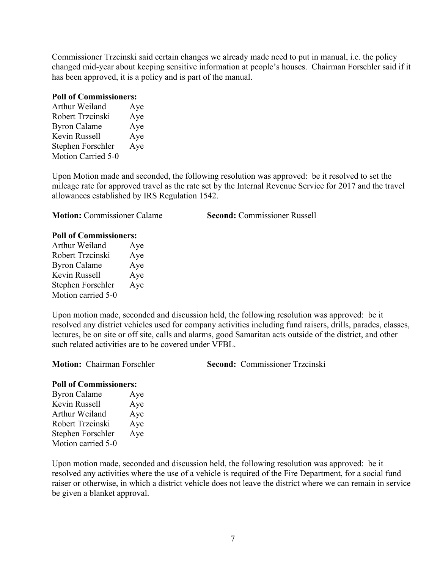Commissioner Trzcinski said certain changes we already made need to put in manual, i.e. the policy changed mid-year about keeping sensitive information at people's houses. Chairman Forschler said if it has been approved, it is a policy and is part of the manual.

#### **Poll of Commissioners:**

| Arthur Weiland      | Aye |
|---------------------|-----|
| Robert Trzcinski    | Aye |
| <b>Byron Calame</b> | Aye |
| Kevin Russell       | Aye |
| Stephen Forschler   | Aye |
| Motion Carried 5-0  |     |

Upon Motion made and seconded, the following resolution was approved: be it resolved to set the mileage rate for approved travel as the rate set by the Internal Revenue Service for 2017 and the travel allowances established by IRS Regulation 1542.

**Motion:** Commissioner Calame **Second:** Commissioner Russell

## **Poll of Commissioners:**

| Arthur Weiland      | Aye |
|---------------------|-----|
| Robert Trzcinski    | Aye |
| <b>Byron Calame</b> | Aye |
| Kevin Russell       | Aye |
| Stephen Forschler   | Aye |
| Motion carried 5-0  |     |

Upon motion made, seconded and discussion held, the following resolution was approved: be it resolved any district vehicles used for company activities including fund raisers, drills, parades, classes, lectures, be on site or off site, calls and alarms, good Samaritan acts outside of the district, and other such related activities are to be covered under VFBL.

**Motion:** Chairman Forschler **Second:** Commissioner Trzcinski

## **Poll of Commissioners:**

| <b>Byron Calame</b> | Aye |
|---------------------|-----|
| Kevin Russell       | Aye |
| Arthur Weiland      | Aye |
| Robert Trzcinski    | Aye |
| Stephen Forschler   | Aye |
| Motion carried 5-0  |     |

Upon motion made, seconded and discussion held, the following resolution was approved: be it resolved any activities where the use of a vehicle is required of the Fire Department, for a social fund raiser or otherwise, in which a district vehicle does not leave the district where we can remain in service be given a blanket approval.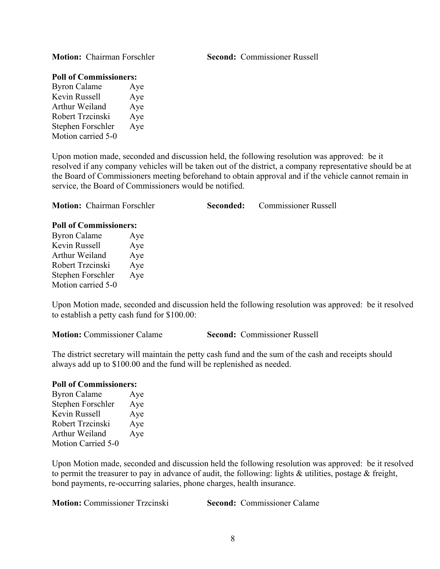**Motion:** Chairman Forschler **Second:** Commissioner Russell

#### **Poll of Commissioners:**

Byron Calame Aye Kevin Russell Aye Arthur Weiland Aye Robert Trzcinski Aye Stephen Forschler Aye Motion carried 5-0

Upon motion made, seconded and discussion held, the following resolution was approved: be it resolved if any company vehicles will be taken out of the district, a company representative should be at the Board of Commissioners meeting beforehand to obtain approval and if the vehicle cannot remain in service, the Board of Commissioners would be notified.

| <b>Motion:</b> Chairman Forschler<br>Seconded: | : Commissioner Russell |
|------------------------------------------------|------------------------|
|------------------------------------------------|------------------------|

| <b>Poll of Commissioners:</b> |     |  |  |
|-------------------------------|-----|--|--|
| <b>Byron Calame</b>           | Aye |  |  |
| Kevin Russell                 | Aye |  |  |
| Arthur Weiland                | Aye |  |  |
| Robert Trzcinski              | Aye |  |  |
| Stephen Forschler             | Aye |  |  |
| Motion carried 5-0            |     |  |  |

Upon Motion made, seconded and discussion held the following resolution was approved: be it resolved to establish a petty cash fund for \$100.00:

|  | <b>Motion:</b> Commissioner Calame |  |
|--|------------------------------------|--|
|  |                                    |  |

**Second: Commissioner Russell** 

The district secretary will maintain the petty cash fund and the sum of the cash and receipts should always add up to \$100.00 and the fund will be replenished as needed.

## **Poll of Commissioners:**

Byron Calame Aye Stephen Forschler Aye Kevin Russell Aye Robert Trzcinski Aye Arthur Weiland Aye Motion Carried 5-0

Upon Motion made, seconded and discussion held the following resolution was approved: be it resolved to permit the treasurer to pay in advance of audit, the following: lights & utilities, postage & freight, bond payments, re-occurring salaries, phone charges, health insurance.

**Motion:** Commissioner Trzcinski **Second:** Commissioner Calame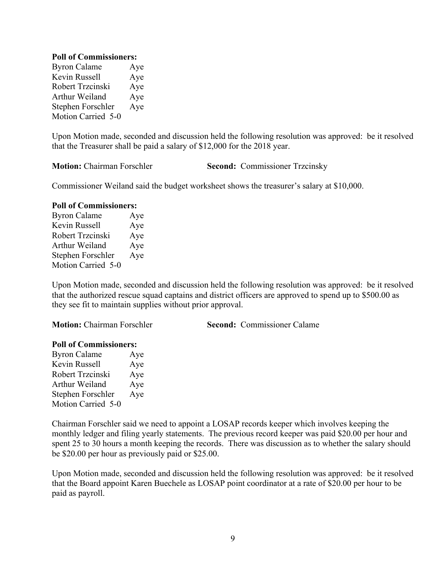## **Poll of Commissioners:**

Byron Calame Aye Kevin Russell Aye Robert Trzcinski Aye Arthur Weiland Aye Stephen Forschler Aye Motion Carried 5-0

Upon Motion made, seconded and discussion held the following resolution was approved: be it resolved that the Treasurer shall be paid a salary of \$12,000 for the 2018 year.

**Motion:** Chairman Forschler<br>
Second: Commissioner Trzcinsky

Commissioner Weiland said the budget worksheet shows the treasurer's salary at \$10,000.

#### **Poll of Commissioners:**

Byron Calame Aye Kevin Russell Aye Robert Trzcinski Aye Arthur Weiland Aye Stephen Forschler Aye Motion Carried 5-0

Upon Motion made, seconded and discussion held the following resolution was approved: be it resolved that the authorized rescue squad captains and district officers are approved to spend up to \$500.00 as they see fit to maintain supplies without prior approval.

**Motion:** Chairman Forschler **Second:** Commissioner Calame

#### **Poll of Commissioners:**

| <b>Byron Calame</b> | Aye |
|---------------------|-----|
| Kevin Russell       | Aye |
| Robert Trzcinski    | Aye |
| Arthur Weiland      | Aye |
| Stephen Forschler   | Aye |
| Motion Carried 5-0  |     |

Chairman Forschler said we need to appoint a LOSAP records keeper which involves keeping the monthly ledger and filing yearly statements. The previous record keeper was paid \$20.00 per hour and spent 25 to 30 hours a month keeping the records. There was discussion as to whether the salary should be \$20.00 per hour as previously paid or \$25.00.

Upon Motion made, seconded and discussion held the following resolution was approved: be it resolved that the Board appoint Karen Buechele as LOSAP point coordinator at a rate of \$20.00 per hour to be paid as payroll.